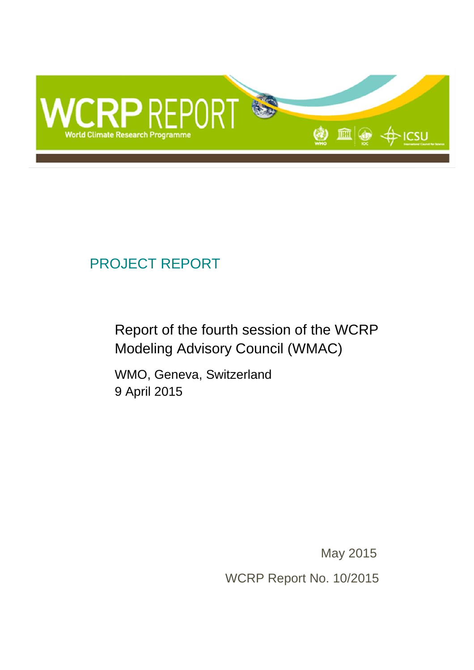

# PROJECT REPORT

Report of the fourth session of the WCRP Modeling Advisory Council (WMAC)

WMO, Geneva, Switzerland 9 April 2015

May 2015

WCRP Report No. 10/2015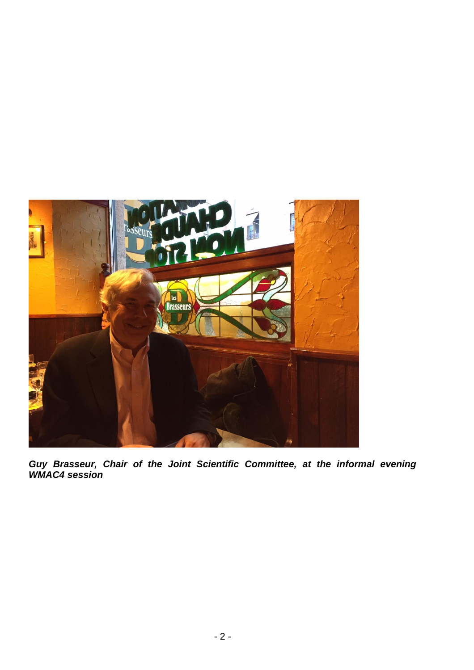

*Guy Brasseur, Chair of the Joint Scientific Committee, at the informal evening WMAC4 session*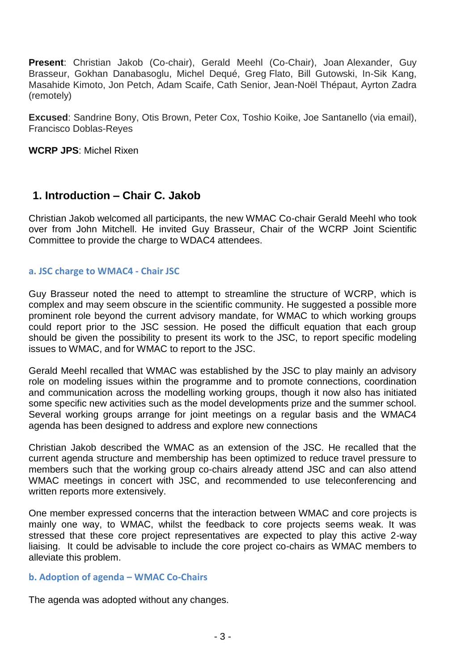**Present**: Christian Jakob (Co-chair), Gerald Meehl (Co-Chair), Joan Alexander, Guy Brasseur, Gokhan Danabasoglu, Michel Dequé, Greg Flato, Bill Gutowski, In-Sik Kang, Masahide Kimoto, Jon Petch, Adam Scaife, Cath Senior, Jean-Noël Thépaut, Ayrton Zadra (remotely)

**Excused**: Sandrine Bony, Otis Brown, Peter Cox, Toshio Koike, Joe Santanello (via email), Francisco Doblas-Reyes

**WCRP JPS**: Michel Rixen

# **1. Introduction – Chair C. Jakob**

Christian Jakob welcomed all participants, the new WMAC Co-chair Gerald Meehl who took over from John Mitchell. He invited Guy Brasseur, Chair of the WCRP Joint Scientific Committee to provide the charge to WDAC4 attendees.

### **a. JSC charge to WMAC4 - Chair JSC**

Guy Brasseur noted the need to attempt to streamline the structure of WCRP, which is complex and may seem obscure in the scientific community. He suggested a possible more prominent role beyond the current advisory mandate, for WMAC to which working groups could report prior to the JSC session. He posed the difficult equation that each group should be given the possibility to present its work to the JSC, to report specific modeling issues to WMAC, and for WMAC to report to the JSC.

Gerald Meehl recalled that WMAC was established by the JSC to play mainly an advisory role on modeling issues within the programme and to promote connections, coordination and communication across the modelling working groups, though it now also has initiated some specific new activities such as the model developments prize and the summer school. Several working groups arrange for joint meetings on a regular basis and the WMAC4 agenda has been designed to address and explore new connections

Christian Jakob described the WMAC as an extension of the JSC. He recalled that the current agenda structure and membership has been optimized to reduce travel pressure to members such that the working group co-chairs already attend JSC and can also attend WMAC meetings in concert with JSC, and recommended to use teleconferencing and written reports more extensively.

One member expressed concerns that the interaction between WMAC and core projects is mainly one way, to WMAC, whilst the feedback to core projects seems weak. It was stressed that these core project representatives are expected to play this active 2-way liaising. It could be advisable to include the core project co-chairs as WMAC members to alleviate this problem.

### **b. Adoption of agenda – WMAC Co-Chairs**

The agenda was adopted without any changes.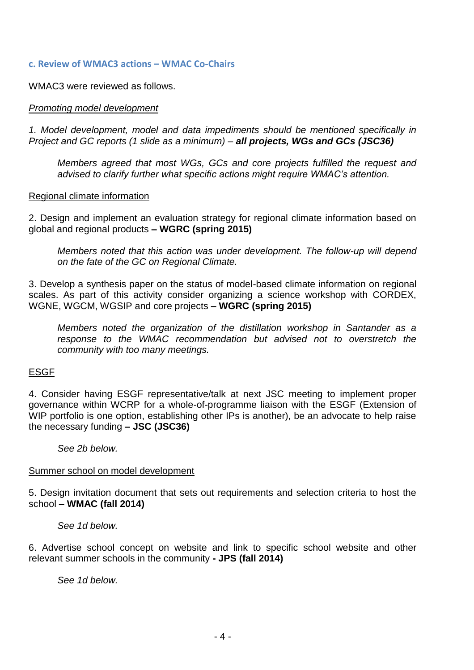#### **c. Review of WMAC3 actions – WMAC Co-Chairs**

WMAC3 were reviewed as follows.

### *Promoting model development*

*1. Model development, model and data impediments should be mentioned specifically in Project and GC reports (1 slide as a minimum) – all projects, WGs and GCs (JSC36)*

*Members agreed that most WGs, GCs and core projects fulfilled the request and advised to clarify further what specific actions might require WMAC's attention.*

#### Regional climate information

2. Design and implement an evaluation strategy for regional climate information based on global and regional products **– WGRC (spring 2015)**

*Members noted that this action was under development. The follow-up will depend on the fate of the GC on Regional Climate.*

3. Develop a synthesis paper on the status of model-based climate information on regional scales. As part of this activity consider organizing a science workshop with CORDEX, WGNE, WGCM, WGSIP and core projects **– WGRC (spring 2015)**

*Members noted the organization of the distillation workshop in Santander as a response to the WMAC recommendation but advised not to overstretch the community with too many meetings.*

#### ESGF

4. Consider having ESGF representative/talk at next JSC meeting to implement proper governance within WCRP for a whole-of-programme liaison with the ESGF (Extension of WIP portfolio is one option, establishing other IPs is another), be an advocate to help raise the necessary funding **– JSC (JSC36)**

*See 2b below.*

#### Summer school on model development

5. Design invitation document that sets out requirements and selection criteria to host the school **– WMAC (fall 2014)**

*See 1d below.*

6. Advertise school concept on website and link to specific school website and other relevant summer schools in the community **- JPS (fall 2014)**

*See 1d below.*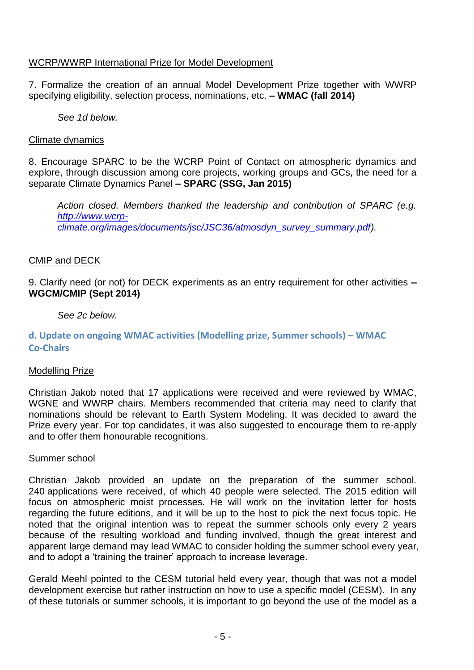### WCRP/WWRP International Prize for Model Development

7. Formalize the creation of an annual Model Development Prize together with WWRP specifying eligibility, selection process, nominations, etc. **– WMAC (fall 2014)**

*See 1d below.*

### Climate dynamics

8. Encourage SPARC to be the WCRP Point of Contact on atmospheric dynamics and explore, through discussion among core projects, working groups and GCs, the need for a separate Climate Dynamics Panel **– SPARC (SSG, Jan 2015)**

*Action closed. Members thanked the leadership and contribution of SPARC (e.g. [http://www.wcrp](http://www.wcrp-climate.org/images/documents/jsc/JSC36/atmosdyn_survey_summary.pdf)[climate.org/images/documents/jsc/JSC36/atmosdyn\\_survey\\_summary.pdf\)](http://www.wcrp-climate.org/images/documents/jsc/JSC36/atmosdyn_survey_summary.pdf).*

### CMIP and DECK

9. Clarify need (or not) for DECK experiments as an entry requirement for other activities **– WGCM/CMIP (Sept 2014)**

*See 2c below.*

## **d. Update on ongoing WMAC activities (Modelling prize, Summer schools) – WMAC Co-Chairs**

### Modelling Prize

Christian Jakob noted that 17 applications were received and were reviewed by WMAC, WGNE and WWRP chairs. Members recommended that criteria may need to clarify that nominations should be relevant to Earth System Modeling. It was decided to award the Prize every year. For top candidates, it was also suggested to encourage them to re-apply and to offer them honourable recognitions.

### Summer school

Christian Jakob provided an update on the preparation of the summer school. 240 applications were received, of which 40 people were selected. The 2015 edition will focus on atmospheric moist processes. He will work on the invitation letter for hosts regarding the future editions, and it will be up to the host to pick the next focus topic. He noted that the original intention was to repeat the summer schools only every 2 years because of the resulting workload and funding involved, though the great interest and apparent large demand may lead WMAC to consider holding the summer school every year, and to adopt a 'training the trainer' approach to increase leverage.

Gerald Meehl pointed to the CESM tutorial held every year, though that was not a model development exercise but rather instruction on how to use a specific model (CESM). In any of these tutorials or summer schools, it is important to go beyond the use of the model as a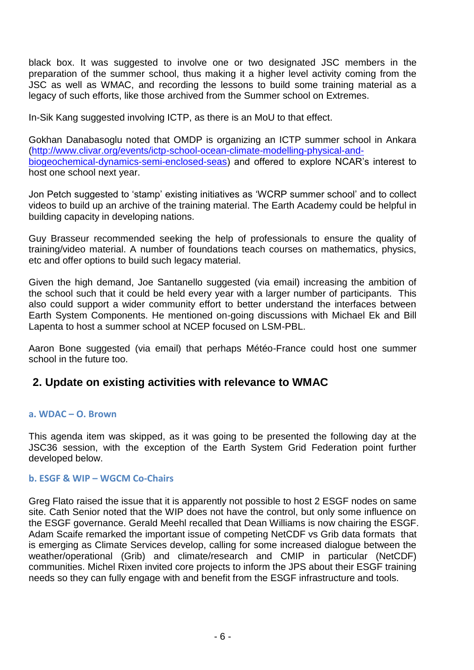black box. It was suggested to involve one or two designated JSC members in the preparation of the summer school, thus making it a higher level activity coming from the JSC as well as WMAC, and recording the lessons to build some training material as a legacy of such efforts, like those archived from the Summer school on Extremes.

In-Sik Kang suggested involving ICTP, as there is an MoU to that effect.

Gokhan Danabasoglu noted that OMDP is organizing an ICTP summer school in Ankara [\(http://www.clivar.org/events/ictp-school-ocean-climate-modelling-physical-and](http://www.clivar.org/events/ictp-school-ocean-climate-modelling-physical-and-biogeochemical-dynamics-semi-enclosed-seas)[biogeochemical-dynamics-semi-enclosed-seas\)](http://www.clivar.org/events/ictp-school-ocean-climate-modelling-physical-and-biogeochemical-dynamics-semi-enclosed-seas) and offered to explore NCAR's interest to host one school next year.

Jon Petch suggested to 'stamp' existing initiatives as 'WCRP summer school' and to collect videos to build up an archive of the training material. The Earth Academy could be helpful in building capacity in developing nations.

Guy Brasseur recommended seeking the help of professionals to ensure the quality of training/video material. A number of foundations teach courses on mathematics, physics, etc and offer options to build such legacy material.

Given the high demand, Joe Santanello suggested (via email) increasing the ambition of the school such that it could be held every year with a larger number of participants. This also could support a wider community effort to better understand the interfaces between Earth System Components. He mentioned on-going discussions with Michael Ek and Bill Lapenta to host a summer school at NCEP focused on LSM-PBL.

Aaron Bone suggested (via email) that perhaps Météo-France could host one summer school in the future too.

# **2. Update on existing activities with relevance to WMAC**

### **a. WDAC – O. Brown**

This agenda item was skipped, as it was going to be presented the following day at the JSC36 session, with the exception of the Earth System Grid Federation point further developed below.

#### **b. ESGF & WIP – WGCM Co-Chairs**

Greg Flato raised the issue that it is apparently not possible to host 2 ESGF nodes on same site. Cath Senior noted that the WIP does not have the control, but only some influence on the ESGF governance. Gerald Meehl recalled that Dean Williams is now chairing the ESGF. Adam Scaife remarked the important issue of competing NetCDF vs Grib data formats that is emerging as Climate Services develop, calling for some increased dialogue between the weather/operational (Grib) and climate/research and CMIP in particular (NetCDF) communities. Michel Rixen invited core projects to inform the JPS about their ESGF training needs so they can fully engage with and benefit from the ESGF infrastructure and tools.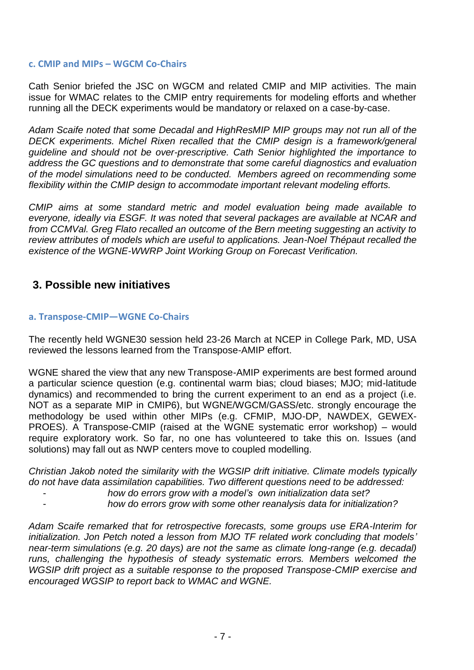### **c. CMIP and MIPs – WGCM Co-Chairs**

Cath Senior briefed the JSC on WGCM and related CMIP and MIP activities. The main issue for WMAC relates to the CMIP entry requirements for modeling efforts and whether running all the DECK experiments would be mandatory or relaxed on a case-by-case.

*Adam Scaife noted that some Decadal and HighResMIP MIP groups may not run all of the DECK experiments. Michel Rixen recalled that the CMIP design is a framework/general guideline and should not be over-prescriptive. Cath Senior highlighted the importance to address the GC questions and to demonstrate that some careful diagnostics and evaluation of the model simulations need to be conducted. Members agreed on recommending some flexibility within the CMIP design to accommodate important relevant modeling efforts.*

*CMIP aims at some standard metric and model evaluation being made available to everyone, ideally via ESGF. It was noted that several packages are available at NCAR and from CCMVal. Greg Flato recalled an outcome of the Bern meeting suggesting an activity to review attributes of models which are useful to applications. Jean-Noel Thépaut recalled the existence of the WGNE-WWRP Joint Working Group on Forecast Verification.*

# **3. Possible new initiatives**

### **a. Transpose-CMIP—WGNE Co-Chairs**

The recently held WGNE30 session held 23-26 March at NCEP in College Park, MD, USA reviewed the lessons learned from the Transpose-AMIP effort.

WGNE shared the view that any new Transpose-AMIP experiments are best formed around a particular science question (e.g. continental warm bias; cloud biases; MJO; mid-latitude dynamics) and recommended to bring the current experiment to an end as a project (i.e. NOT as a separate MIP in CMIP6), but WGNE/WGCM/GASS/etc. strongly encourage the methodology be used within other MIPs (e.g. CFMIP, MJO-DP, NAWDEX, GEWEX-PROES). A Transpose-CMIP (raised at the WGNE systematic error workshop) – would require exploratory work. So far, no one has volunteered to take this on. Issues (and solutions) may fall out as NWP centers move to coupled modelling.

*Christian Jakob noted the similarity with the WGSIP drift initiative. Climate models typically do not have data assimilation capabilities. Two different questions need to be addressed:*

- *how do errors grow with a model's own initialization data set?*
	- *how do errors grow with some other reanalysis data for initialization?*

*Adam Scaife remarked that for retrospective forecasts, some groups use ERA-Interim for initialization. Jon Petch noted a lesson from MJO TF related work concluding that models' near-term simulations (e.g. 20 days) are not the same as climate long-range (e.g. decadal) runs, challenging the hypothesis of steady systematic errors. Members welcomed the WGSIP drift project as a suitable response to the proposed Transpose-CMIP exercise and encouraged WGSIP to report back to WMAC and WGNE.*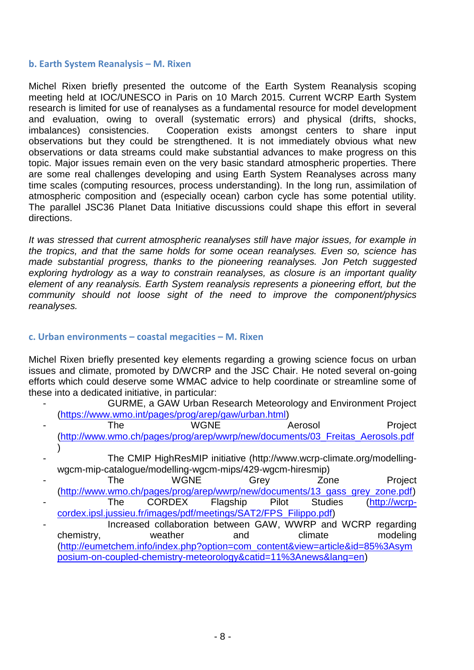### **b. Earth System Reanalysis – M. Rixen**

Michel Rixen briefly presented the outcome of the Earth System Reanalysis scoping meeting held at IOC/UNESCO in Paris on 10 March 2015. Current WCRP Earth System research is limited for use of reanalyses as a fundamental resource for model development and evaluation, owing to overall (systematic errors) and physical (drifts, shocks, imbalances) consistencies. Cooperation exists amongst centers to share input observations but they could be strengthened. It is not immediately obvious what new observations or data streams could make substantial advances to make progress on this topic. Major issues remain even on the very basic standard atmospheric properties. There are some real challenges developing and using Earth System Reanalyses across many time scales (computing resources, process understanding). In the long run, assimilation of atmospheric composition and (especially ocean) carbon cycle has some potential utility. The parallel JSC36 Planet Data Initiative discussions could shape this effort in several directions.

*It was stressed that current atmospheric reanalyses still have major issues, for example in the tropics, and that the same holds for some ocean reanalyses. Even so, science has made substantial progress, thanks to the pioneering reanalyses. Jon Petch suggested exploring hydrology as a way to constrain reanalyses, as closure is an important quality element of any reanalysis. Earth System reanalysis represents a pioneering effort, but the community should not loose sight of the need to improve the component/physics reanalyses.*

### **c. Urban environments – coastal megacities – M. Rixen**

Michel Rixen briefly presented key elements regarding a growing science focus on urban issues and climate, promoted by D/WCRP and the JSC Chair. He noted several on-going efforts which could deserve some WMAC advice to help coordinate or streamline some of these into a dedicated initiative, in particular:

- GURME, a GAW Urban Research Meteorology and Environment Project [\(https://www.wmo.int/pages/prog/arep/gaw/urban.html\)](https://www.wmo.int/pages/prog/arep/gaw/urban.html)
- The WGNE Aerosol Project [\(http://www.wmo.ch/pages/prog/arep/wwrp/new/documents/03\\_Freitas\\_Aerosols.pdf](http://www.wmo.ch/pages/prog/arep/wwrp/new/documents/03_Freitas_Aerosols.pdf) )
- The CMIP HighResMIP initiative (http://www.wcrp-climate.org/modellingwgcm-mip-catalogue/modelling-wgcm-mips/429-wgcm-hiresmip)
- The WGNE Grey Zone Project [\(http://www.wmo.ch/pages/prog/arep/wwrp/new/documents/13\\_gass\\_grey\\_zone.pdf\)](http://www.wmo.ch/pages/prog/arep/wwrp/new/documents/13_gass_grey_zone.pdf) The CORDEX Flagship Pilot Studies [\(http://wcrp-](http://wcrp-cordex.ipsl.jussieu.fr/images/pdf/meetings/SAT2/FPS_Filippo.pdf)
- [cordex.ipsl.jussieu.fr/images/pdf/meetings/SAT2/FPS\\_Filippo.pdf\)](http://wcrp-cordex.ipsl.jussieu.fr/images/pdf/meetings/SAT2/FPS_Filippo.pdf) Increased collaboration between GAW, WWRP and WCRP regarding chemistry, weather and climate modeling [\(http://eumetchem.info/index.php?option=com\\_content&view=article&id=85%3Asym](http://eumetchem.info/index.php?option=com_content&view=article&id=85%3Asymposium-on-coupled-chemistry-meteorology&catid=11%3Anews&lang=en)
	- [posium-on-coupled-chemistry-meteorology&catid=11%3Anews&lang=en\)](http://eumetchem.info/index.php?option=com_content&view=article&id=85%3Asymposium-on-coupled-chemistry-meteorology&catid=11%3Anews&lang=en)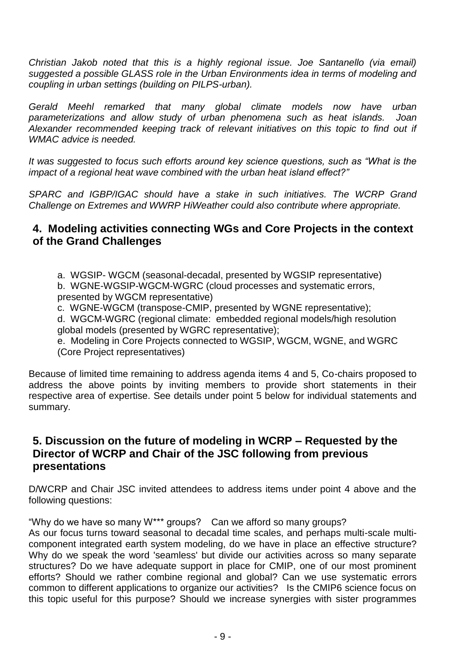*Christian Jakob noted that this is a highly regional issue. Joe Santanello (via email) suggested a possible GLASS role in the Urban Environments idea in terms of modeling and coupling in urban settings (building on PILPS-urban).*

*Gerald Meehl remarked that many global climate models now have urban parameterizations and allow study of urban phenomena such as heat islands. Joan Alexander recommended keeping track of relevant initiatives on this topic to find out if WMAC advice is needed.*

*It was suggested to focus such efforts around key science questions, such as "What is the impact of a regional heat wave combined with the urban heat island effect?"*

*SPARC and IGBP/IGAC should have a stake in such initiatives. The WCRP Grand Challenge on Extremes and WWRP HiWeather could also contribute where appropriate.* 

# **4. Modeling activities connecting WGs and Core Projects in the context of the Grand Challenges**

a. WGSIP- WGCM (seasonal-decadal, presented by WGSIP representative)

b. WGNE-WGSIP-WGCM-WGRC (cloud processes and systematic errors, presented by WGCM representative)

c. WGNE-WGCM (transpose-CMIP, presented by WGNE representative);

d. WGCM-WGRC (regional climate: embedded regional models/high resolution global models (presented by WGRC representative);

e. Modeling in Core Projects connected to WGSIP, WGCM, WGNE, and WGRC (Core Project representatives)

Because of limited time remaining to address agenda items 4 and 5, Co-chairs proposed to address the above points by inviting members to provide short statements in their respective area of expertise. See details under point 5 below for individual statements and summary.

# **5. Discussion on the future of modeling in WCRP – Requested by the Director of WCRP and Chair of the JSC following from previous presentations**

D/WCRP and Chair JSC invited attendees to address items under point 4 above and the following questions:

"Why do we have so many W\*\*\* groups? Can we afford so many groups?

As our focus turns toward seasonal to decadal time scales, and perhaps multi-scale multicomponent integrated earth system modeling, do we have in place an effective structure? Why do we speak the word 'seamless' but divide our activities across so many separate structures? Do we have adequate support in place for CMIP, one of our most prominent efforts? Should we rather combine regional and global? Can we use systematic errors common to different applications to organize our activities? Is the CMIP6 science focus on this topic useful for this purpose? Should we increase synergies with sister programmes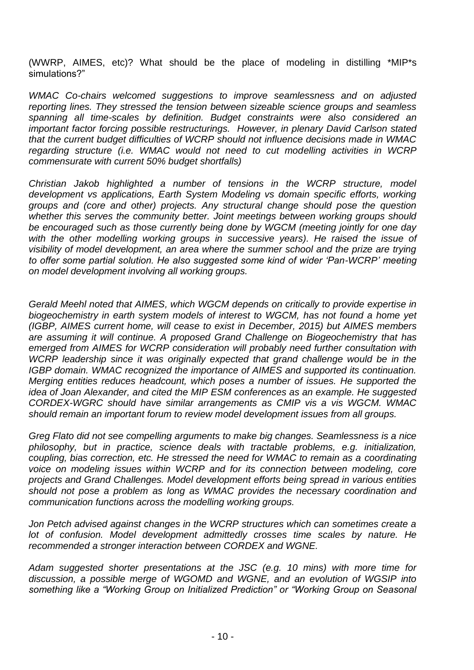(WWRP, AIMES, etc)? What should be the place of modeling in distilling \*MIP\*s simulations?"

*WMAC Co-chairs welcomed suggestions to improve seamlessness and on adjusted reporting lines. They stressed the tension between sizeable science groups and seamless spanning all time-scales by definition. Budget constraints were also considered an important factor forcing possible restructurings. However, in plenary David Carlson stated that the current budget difficulties of WCRP should not influence decisions made in WMAC regarding structure (i.e. WMAC would not need to cut modelling activities in WCRP commensurate with current 50% budget shortfalls)*

*Christian Jakob highlighted a number of tensions in the WCRP structure, model development vs applications, Earth System Modeling vs domain specific efforts, working groups and (core and other) projects. Any structural change should pose the question whether this serves the community better. Joint meetings between working groups should be encouraged such as those currently being done by WGCM (meeting jointly for one day*  with the other modelling working groups in successive years). He raised the issue of *visibility of model development, an area where the summer school and the prize are trying to offer some partial solution. He also suggested some kind of wider 'Pan-WCRP' meeting on model development involving all working groups.*

*Gerald Meehl noted that AIMES, which WGCM depends on critically to provide expertise in biogeochemistry in earth system models of interest to WGCM, has not found a home yet (IGBP, AIMES current home, will cease to exist in December, 2015) but AIMES members are assuming it will continue. A proposed Grand Challenge on Biogeochemistry that has emerged from AIMES for WCRP consideration will probably need further consultation with WCRP leadership since it was originally expected that grand challenge would be in the IGBP domain. WMAC recognized the importance of AIMES and supported its continuation. Merging entities reduces headcount, which poses a number of issues. He supported the idea of Joan Alexander, and cited the MIP ESM conferences as an example. He suggested CORDEX-WGRC should have similar arrangements as CMIP vis a vis WGCM. WMAC should remain an important forum to review model development issues from all groups.* 

*Greg Flato did not see compelling arguments to make big changes. Seamlessness is a nice philosophy, but in practice, science deals with tractable problems, e.g. initialization, coupling, bias correction, etc. He stressed the need for WMAC to remain as a coordinating voice on modeling issues within WCRP and for its connection between modeling, core projects and Grand Challenges. Model development efforts being spread in various entities should not pose a problem as long as WMAC provides the necessary coordination and communication functions across the modelling working groups.*

*Jon Petch advised against changes in the WCRP structures which can sometimes create a lot of confusion. Model development admittedly crosses time scales by nature. He recommended a stronger interaction between CORDEX and WGNE.*

*Adam suggested shorter presentations at the JSC (e.g. 10 mins) with more time for discussion, a possible merge of WGOMD and WGNE, and an evolution of WGSIP into something like a "Working Group on Initialized Prediction" or "Working Group on Seasonal*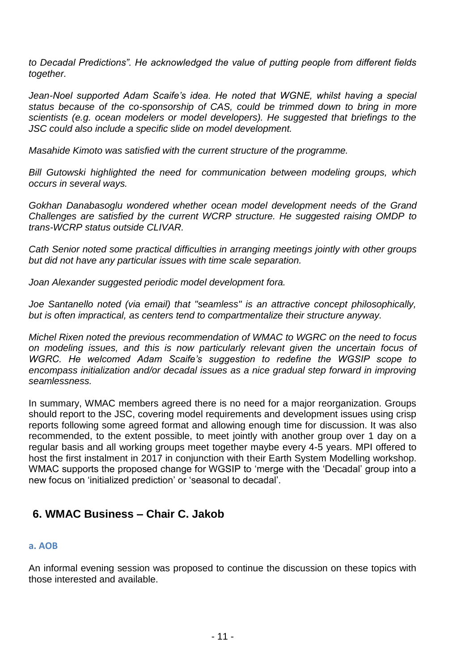*to Decadal Predictions". He acknowledged the value of putting people from different fields together.*

Jean-Noel supported Adam Scaife's idea. He noted that WGNE, whilst having a special *status because of the co-sponsorship of CAS, could be trimmed down to bring in more scientists (e.g. ocean modelers or model developers). He suggested that briefings to the JSC could also include a specific slide on model development.*

*Masahide Kimoto was satisfied with the current structure of the programme.*

*Bill Gutowski highlighted the need for communication between modeling groups, which occurs in several ways.*

*Gokhan Danabasoglu wondered whether ocean model development needs of the Grand Challenges are satisfied by the current WCRP structure. He suggested raising OMDP to trans-WCRP status outside CLIVAR.*

*Cath Senior noted some practical difficulties in arranging meetings jointly with other groups but did not have any particular issues with time scale separation.*

*Joan Alexander suggested periodic model development fora.* 

*Joe Santanello noted (via email) that "seamless" is an attractive concept philosophically, but is often impractical, as centers tend to compartmentalize their structure anyway.*

*Michel Rixen noted the previous recommendation of WMAC to WGRC on the need to focus on modeling issues, and this is now particularly relevant given the uncertain focus of WGRC. He welcomed Adam Scaife's suggestion to redefine the WGSIP scope to encompass initialization and/or decadal issues as a nice gradual step forward in improving seamlessness.* 

In summary, WMAC members agreed there is no need for a major reorganization. Groups should report to the JSC, covering model requirements and development issues using crisp reports following some agreed format and allowing enough time for discussion. It was also recommended, to the extent possible, to meet jointly with another group over 1 day on a regular basis and all working groups meet together maybe every 4-5 years. MPI offered to host the first instalment in 2017 in conjunction with their Earth System Modelling workshop. WMAC supports the proposed change for WGSIP to 'merge with the 'Decadal' group into a new focus on 'initialized prediction' or 'seasonal to decadal'.

# **6. WMAC Business – Chair C. Jakob**

### **a. AOB**

An informal evening session was proposed to continue the discussion on these topics with those interested and available.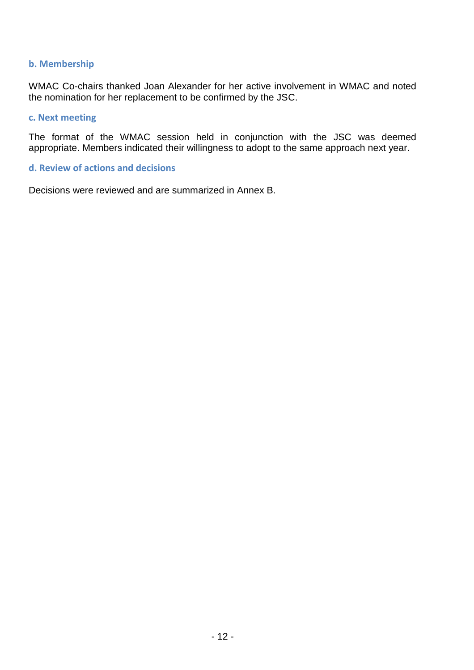### **b. Membership**

WMAC Co-chairs thanked Joan Alexander for her active involvement in WMAC and noted the nomination for her replacement to be confirmed by the JSC.

#### **c. Next meeting**

The format of the WMAC session held in conjunction with the JSC was deemed appropriate. Members indicated their willingness to adopt to the same approach next year.

#### **d. Review of actions and decisions**

Decisions were reviewed and are summarized in Annex B.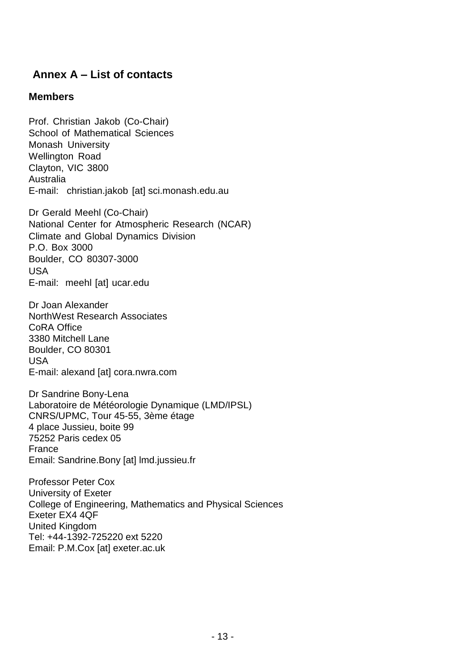# **Annex A – List of contacts**

# **Members**

Prof. Christian Jakob (Co-Chair) School of Mathematical Sciences Monash University Wellington Road Clayton, VIC 3800 Australia E-mail: christian.jakob [at] sci.monash.edu.au

Dr Gerald Meehl (Co-Chair) National Center for Atmospheric Research (NCAR) Climate and Global Dynamics Division P.O. Box 3000 Boulder, CO 80307-3000 USA E-mail: meehl [at] ucar.edu

Dr Joan Alexander NorthWest Research Associates CoRA Office 3380 Mitchell Lane Boulder, CO 80301 USA E-mail: alexand [at] cora.nwra.com

Dr Sandrine Bony-Lena Laboratoire de Météorologie Dynamique (LMD/IPSL) CNRS/UPMC, Tour 45-55, 3ème étage 4 place Jussieu, boite 99 75252 Paris cedex 05 France Email: Sandrine.Bony [at] lmd.jussieu.fr

Professor Peter Cox University of Exeter College of Engineering, Mathematics and Physical Sciences Exeter EX4 4QF United Kingdom Tel: +44-1392-725220 ext 5220 Email: P.M.Cox [at] exeter.ac.uk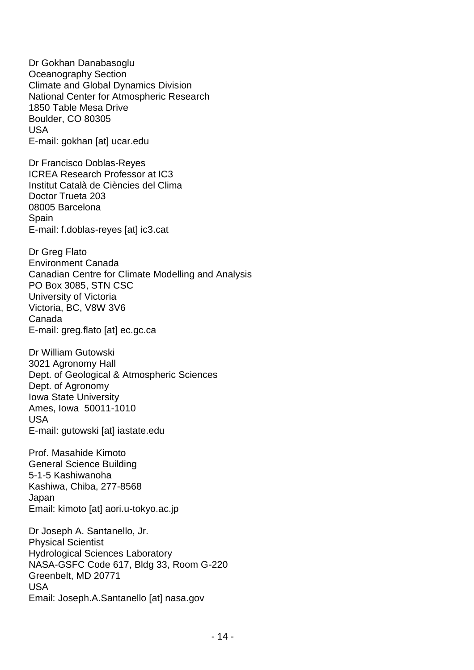Dr Gokhan Danabasoglu Oceanography Section Climate and Global Dynamics Division National Center for Atmospheric Research 1850 Table Mesa Drive Boulder, CO 80305 USA E-mail: gokhan [at] ucar.edu

Dr Francisco Doblas-Reyes ICREA Research Professor at IC3 Institut Català de Ciències del Clima Doctor Trueta 203 08005 Barcelona Spain E-mail: f.doblas-reyes [at] ic3.cat

Dr Greg Flato Environment Canada Canadian Centre for Climate Modelling and Analysis PO Box 3085, STN CSC University of Victoria Victoria, BC, V8W 3V6 Canada E-mail: greg.flato [at] ec.gc.ca

Dr William Gutowski 3021 Agronomy Hall Dept. of Geological & Atmospheric Sciences Dept. of Agronomy Iowa State University Ames, Iowa 50011-1010 USA E-mail: gutowski [at] iastate.edu

Prof. Masahide Kimoto General Science Building 5-1-5 Kashiwanoha Kashiwa, Chiba, 277-8568 Japan Email: kimoto [at] aori.u-tokyo.ac.jp

Dr Joseph A. Santanello, Jr. Physical Scientist Hydrological Sciences Laboratory NASA-GSFC Code 617, Bldg 33, Room G-220 Greenbelt, MD 20771 USA Email: Joseph.A.Santanello [at] nasa.gov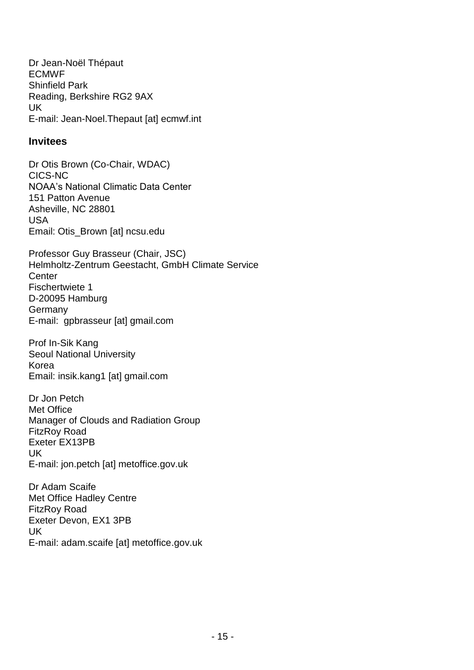Dr Jean-Noël Thépaut ECMWF Shinfield Park Reading, Berkshire RG2 9AX UK E-mail: Jean-Noel.Thepaut [at] ecmwf.int

## **Invitees**

Dr Otis Brown (Co-Chair, WDAC) CICS-NC NOAA's National Climatic Data Center 151 Patton Avenue Asheville, NC 28801 USA Email: Otis\_Brown [at] ncsu.edu

Professor Guy Brasseur (Chair, JSC) Helmholtz-Zentrum Geestacht, GmbH Climate Service **Center** Fischertwiete 1 D-20095 Hamburg Germany E-mail: gpbrasseur [at] gmail.com

Prof In-Sik Kang Seoul National University Korea Email: insik.kang1 [at] gmail.com

Dr Jon Petch Met Office Manager of Clouds and Radiation Group FitzRoy Road Exeter EX13PB UK E-mail: jon.petch [at] metoffice.gov.uk

Dr Adam Scaife Met Office Hadley Centre FitzRoy Road Exeter Devon, EX1 3PB UK E-mail: adam.scaife [at] metoffice.gov.uk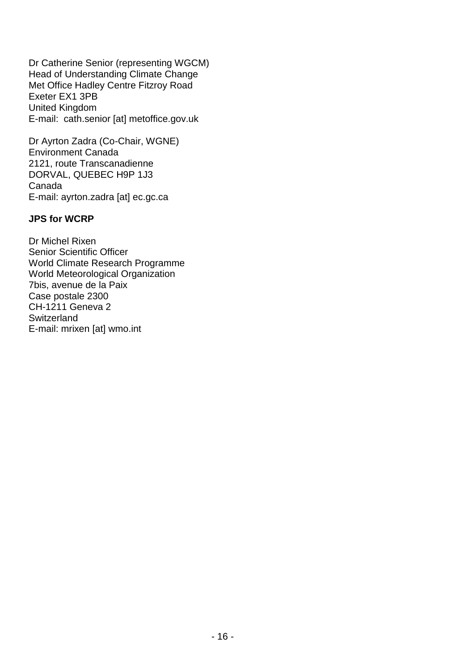Dr Catherine Senior (representing WGCM) Head of Understanding Climate Change Met Office Hadley Centre Fitzroy Road Exeter EX1 3PB United Kingdom E-mail: cath.senior [at] metoffice.gov.uk

Dr Ayrton Zadra (Co-Chair, WGNE) Environment Canada 2121, route Transcanadienne DORVAL, QUEBEC H9P 1J3 Canada E-mail: ayrton.zadra [at] ec.gc.ca

### **JPS for WCRP**

Dr Michel Rixen Senior Scientific Officer World Climate Research Programme World Meteorological Organization 7bis, avenue de la Paix Case postale 2300 CH-1211 Geneva 2 **Switzerland** E-mail: mrixen [at] wmo.int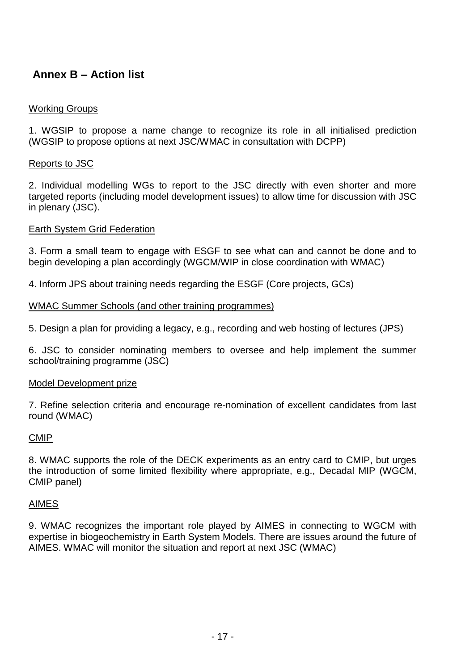# **Annex B – Action list**

### Working Groups

1. WGSIP to propose a name change to recognize its role in all initialised prediction (WGSIP to propose options at next JSC/WMAC in consultation with DCPP)

### Reports to JSC

2. Individual modelling WGs to report to the JSC directly with even shorter and more targeted reports (including model development issues) to allow time for discussion with JSC in plenary (JSC).

### Earth System Grid Federation

3. Form a small team to engage with ESGF to see what can and cannot be done and to begin developing a plan accordingly (WGCM/WIP in close coordination with WMAC)

4. Inform JPS about training needs regarding the ESGF (Core projects, GCs)

### WMAC Summer Schools (and other training programmes)

5. Design a plan for providing a legacy, e.g., recording and web hosting of lectures (JPS)

6. JSC to consider nominating members to oversee and help implement the summer school/training programme (JSC)

### Model Development prize

7. Refine selection criteria and encourage re-nomination of excellent candidates from last round (WMAC)

### CMIP

8. WMAC supports the role of the DECK experiments as an entry card to CMIP, but urges the introduction of some limited flexibility where appropriate, e.g., Decadal MIP (WGCM, CMIP panel)

### AIMES

9. WMAC recognizes the important role played by AIMES in connecting to WGCM with expertise in biogeochemistry in Earth System Models. There are issues around the future of AIMES. WMAC will monitor the situation and report at next JSC (WMAC)